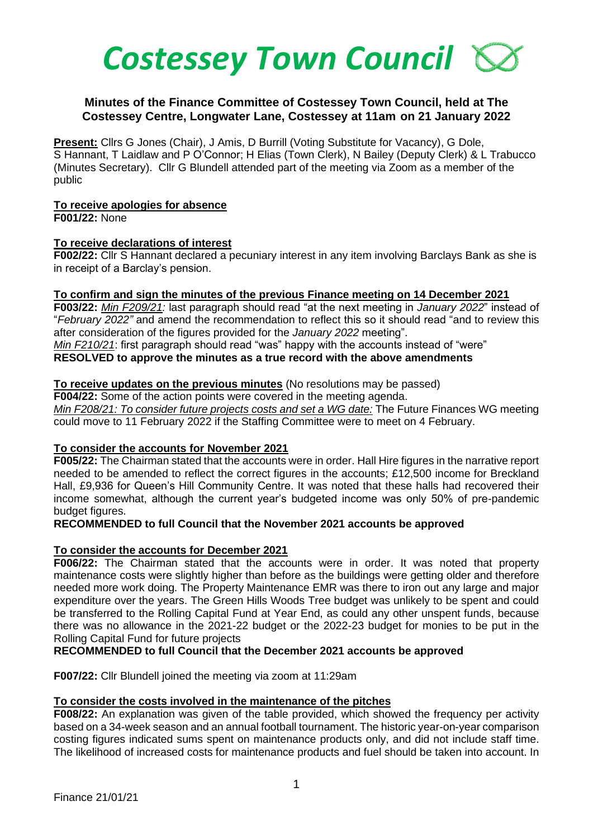

## **Minutes of the Finance Committee of Costessey Town Council, held at The Costessey Centre, Longwater Lane, Costessey at 11am on 21 January 2022**

**Present:** Cllrs G Jones (Chair), J Amis, D Burrill (Voting Substitute for Vacancy), G Dole, S Hannant, T Laidlaw and P O'Connor; H Elias (Town Clerk), N Bailey (Deputy Clerk) & L Trabucco (Minutes Secretary). Cllr G Blundell attended part of the meeting via Zoom as a member of the public

### **To receive apologies for absence**

**F001/22:** None

### **To receive declarations of interest**

**F002/22:** Cllr S Hannant declared a pecuniary interest in any item involving Barclays Bank as she is in receipt of a Barclay's pension.

### **To confirm and sign the minutes of the previous Finance meeting on 14 December 2021**

**F003/22:** *Min F209/21:* last paragraph should read "at the next meeting in *January 2022*" instead of "*February 2022"* and amend the recommendation to reflect this so it should read "and to review this after consideration of the figures provided for the *January 2022* meeting".

*Min F210/21*: first paragraph should read "was" happy with the accounts instead of "were"

### **RESOLVED to approve the minutes as a true record with the above amendments**

## **To receive updates on the previous minutes** (No resolutions may be passed)

**F004/22:** Some of the action points were covered in the meeting agenda. *Min F208/21: To consider future projects costs and set a WG date:* The Future Finances WG meeting could move to 11 February 2022 if the Staffing Committee were to meet on 4 February.

## **To consider the accounts for November 2021**

**F005/22:** The Chairman stated that the accounts were in order. Hall Hire figures in the narrative report needed to be amended to reflect the correct figures in the accounts; £12,500 income for Breckland Hall, £9,936 for Queen's Hill Community Centre. It was noted that these halls had recovered their income somewhat, although the current year's budgeted income was only 50% of pre-pandemic budget figures.

## **RECOMMENDED to full Council that the November 2021 accounts be approved**

## **To consider the accounts for December 2021**

**F006/22:** The Chairman stated that the accounts were in order. It was noted that property maintenance costs were slightly higher than before as the buildings were getting older and therefore needed more work doing. The Property Maintenance EMR was there to iron out any large and major expenditure over the years. The Green Hills Woods Tree budget was unlikely to be spent and could be transferred to the Rolling Capital Fund at Year End, as could any other unspent funds, because there was no allowance in the 2021-22 budget or the 2022-23 budget for monies to be put in the Rolling Capital Fund for future projects

## **RECOMMENDED to full Council that the December 2021 accounts be approved**

**F007/22:** Cllr Blundell joined the meeting via zoom at 11:29am

## **To consider the costs involved in the maintenance of the pitches**

**F008/22:** An explanation was given of the table provided, which showed the frequency per activity based on a 34-week season and an annual football tournament. The historic year-on-year comparison costing figures indicated sums spent on maintenance products only, and did not include staff time. The likelihood of increased costs for maintenance products and fuel should be taken into account. In